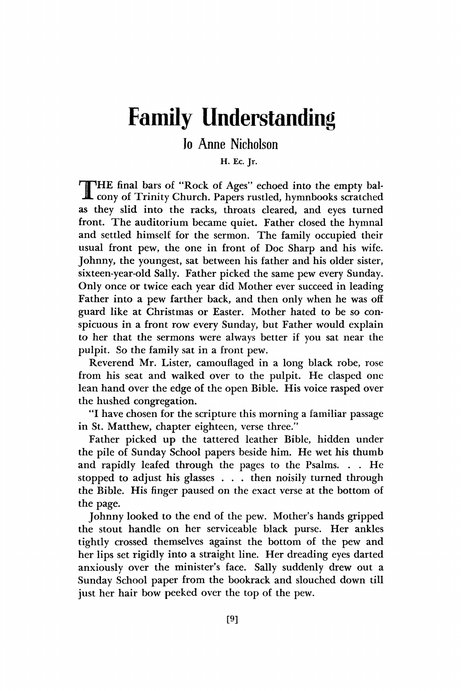## **Family Understanding**

## lo Anne Nicholson

## **H. Ec. Jr.**

THE final bars of "Rock of Ages" echoed into the empty bal-<br>cony of Trinity Church. Papers rustled, hymnbooks scratched HE final bars of "Rock of Ages" echoed into the empty balas they slid into the racks, throats cleared, and eyes turned front. The auditorium became quiet. Father closed the hymnal and settled himself for the sermon. The family occupied their usual front pew, the one in front of Doc Sharp and his wife. Johnny, the youngest, sat between his father and his older sister, sixteen-year-old Sally. Father picked the same pew every Sunday. Only once or twice each year did Mother ever succeed in leading Father into a pew farther back, and then only when he was off guard like at Christmas or Easter. Mother hated to be so conspicuous in a front row every Sunday, but Father would explain to her that the sermons were always better if you sat near the pulpit. So the family sat in a front pew.

Reverend Mr. Lister, camouflaged in a long black robe, rose from his seat and walked over to the pulpit. He clasped one lean hand over the edge of the open Bible. His voice rasped over the hushed congregation.

"I have chosen for the scripture this morning a familiar passage in St. Matthew, chapter eighteen, verse three."

Father picked up the tattered leather Bible, hidden under the pile of Sunday School papers beside him. He wet his thumb and rapidly leafed through the pages to the Psalms. . . He stopped to adjust his glasses . . . then noisily turned through the Bible. His finger paused on the exact verse at the bottom of the page.

Johnny looked to the end of the pew. Mother's hands gripped the stout handle on her serviceable black purse. Her ankles tightly crossed themselves against the bottom of the pew and her lips set rigidly into a straight line. Her dreading eyes darted anxiously over the minister's face. Sally suddenly drew out a Sunday School paper from the bookrack and slouched down till just her hair bow peeked over the top of the pew.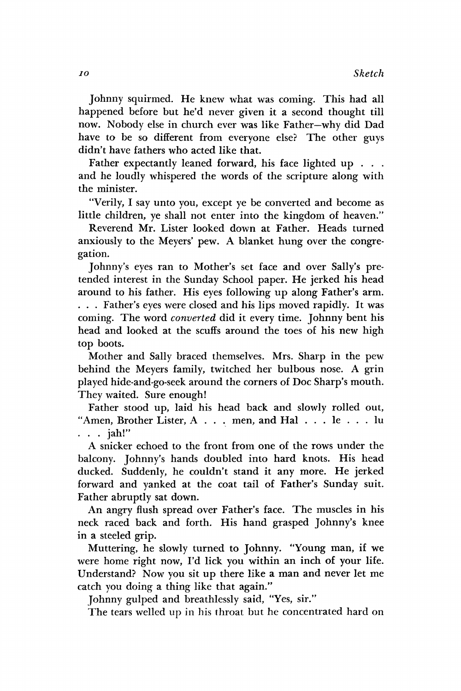Johnny squirmed. He knew what was coming. This had all happened before but he'd never given it a second thought till now. Nobody else in church ever was like Father—why did Dad have to be so different from everyone else? The other guys didn't have fathers who acted like that.

Father expectantly leaned forward, his face lighted up . . . and he loudly whispered the words of the scripture along with the minister.

"Verily, I say unto you, except ye be converted and become as little children, ye shall not enter into the kingdom of heaven."

Reverend Mr. Lister looked down at Father. Heads turned anxiously to the Meyers' pew. A blanket hung over the congregation.

Johnny's eyes ran to Mother's set face and over Sally's pretended interest in the Sunday School paper. He jerked his head around to his father. His eyes following up along Father's arm. . . . Father's eyes were closed and his lips moved rapidly. It was coming. The word *converted* did it every time. Johnny bent his head and looked at the scuffs around the toes of his new high top boots.

Mother and Sally braced themselves. Mrs. Sharp in the pew behind the Meyers family, twitched her bulbous nose. A grin played hide-and-go-seek around the corners of Doc Sharp's mouth. They waited. Sure enough!

Father stood up, laid his head back and slowly rolled out, "Amen, Brother Lister, A . . . men, and Hal . . . le . . . lu . . . jah!"

A snicker echoed to the front from one of the rows under the balcony. Johnny's hands doubled into hard knots. His head ducked. Suddenly, he couldn't stand it any more. He jerked forward and yanked at the coat tail of Father's Sunday suit. Father abruptly sat down.

An angry flush spread over Father's face. The muscles in his neck raced back and forth. His hand grasped Johnny's knee in a steeled grip.

Muttering, he slowly turned to Johnny. "Young man, if we were home right now, I'd lick you within an inch of your life. Understand? Now you sit up there like a man and never let me catch you doing a thing like that again."

Johnny gulped and breathlessly said, "Yes, sir."

The tears welled up in his throat but he concentrated hard on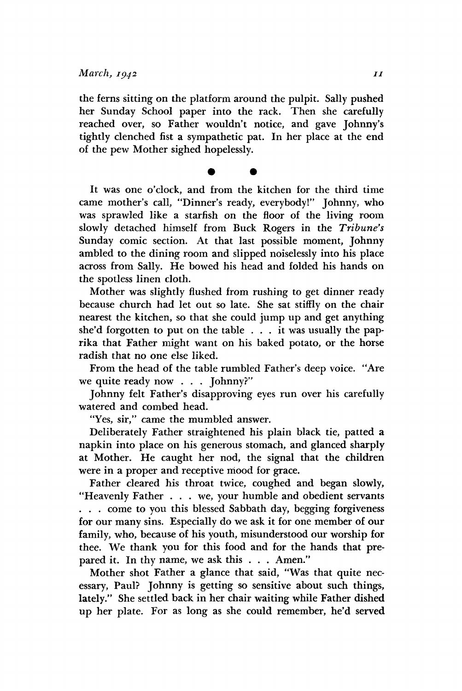the ferns sitting on the platform around the pulpit. Sally pushed her Sunday School paper into the rack. Then she carefully reached over, so Father wouldn't notice, and gave Johnny's tightly clenched fist a sympathetic pat. In her place at the end of the pew Mother sighed hopelessly.

**• •** 

It was one o'clock, and from the kitchen for the third time came mother's call, "Dinner's ready, everybody!" Johnny, who was sprawled like a starfish on the floor of the living room slowly detached himself from Buck Rogers in the *Tribune's*  Sunday comic section. At that last possible moment, Johnny ambled to the dining room and slipped noiselessly into his place across from Sally. He bowed his head and folded his hands on the spotless linen cloth.

Mother was slightly flushed from rushing to get dinner ready because church had let out so late. She sat stiffly on the chair nearest the kitchen, so that she could jump up and get anything she'd forgotten to put on the table  $\ldots$  it was usually the paprika that Father might want on his baked potato, or the horse radish that no one else liked.

From the head of the table rumbled Father's deep voice. "Are we quite ready now . . . Johnny?"

Johnny felt Father's disapproving eyes run over his carefully watered and combed head.

"Yes, sir," came the mumbled answer.

Deliberately Father straightened his plain black tie, patted a napkin into place on his generous stomach, and glanced sharply at Mother. He caught her nod, the signal that the children were in a proper and receptive mood for grace.

Father cleared his throat twice, coughed and began slowly, "Heavenly Father . . . we, your humble and obedient servants . . . come to you this blessed Sabbath day, begging forgiveness for our many sins. Especially do we ask it for one member of our family, who, because of his youth, misunderstood our worship for thee. We thank you for this food and for the hands that prepared it. In thy name, we ask this . . . Amen."

Mother shot Father a glance that said, "Was that quite necessary, Paul? Johnny is getting so sensitive about such things, lately." She settled back in her chair waiting while Father dished up her plate. For as long as she could remember, he'd served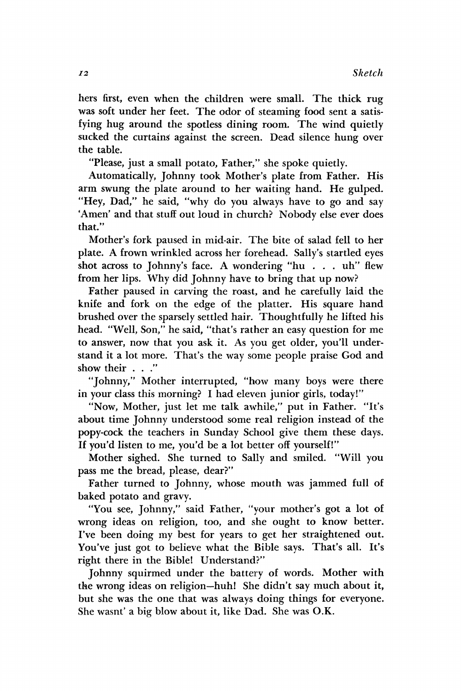hers first, even when the children were small. The thick rug was soft under her feet. The odor of steaming food sent a satisfying hug around the spotless dining room. The wind quietly sucked the curtains against the screen. Dead silence hung over the table.

"Please, just a small potato, Father," she spoke quietly.

Automatically, Johnny took Mother's plate from Father. His arm swung the plate around to her waiting hand. He gulped. "Hey, Dad," he said, "why do you always have to go and say 'Amen' and that stuff out loud in church? Nobody else ever does that."

Mother's fork paused in mid-air. The bite of salad fell to her plate. A frown wrinkled across her forehead. Sally's startled eyes shot across to Johnny's face. A wondering "hu . . . uh" flew from her lips. Why did Johnny have to bring that up now?

Father paused in carving the roast, and he carefully laid the knife and fork on the edge of the platter. His square hand brushed over the sparsely settled hair. Thoughtfully he lifted his head. "Well, Son," he said, "that's rather an easy question for me to answer, now that you ask it. As you get older, you'll understand it a lot more. That's the way some people praise God and show their . . ."

"Johnny," Mother interrupted, "how many boys were there in your class this morning? I had eleven junior girls, today!"

"Now, Mother, just let me talk awhile," put in Father. "It's about time Johnny understood some real religion instead of the popy-cock the teachers in Sunday School give them these days. If you'd listen to me, you'd be a lot better off yourself!"

Mother sighed. She turned to Sally and smiled. "Will you pass me the bread, please, dear?"

Father turned to Johnny, whose mouth was jammed full of baked potato and gravy.

"You see, Johnny," said Father, "your mother's got a lot of wrong ideas on religion, too, and she ought to know better. I've been doing my best for years to get her straightened out. You've just got to believe what the Bible says. That's all. It's right there in the Bible! Understand?"

Johnny squirmed under the battery of words. Mother with the wrong ideas on religion—huh! She didn't say much about it, but she was the one that was always doing things for everyone. She wasnt' a big blow about it, like Dad. She was O.K.